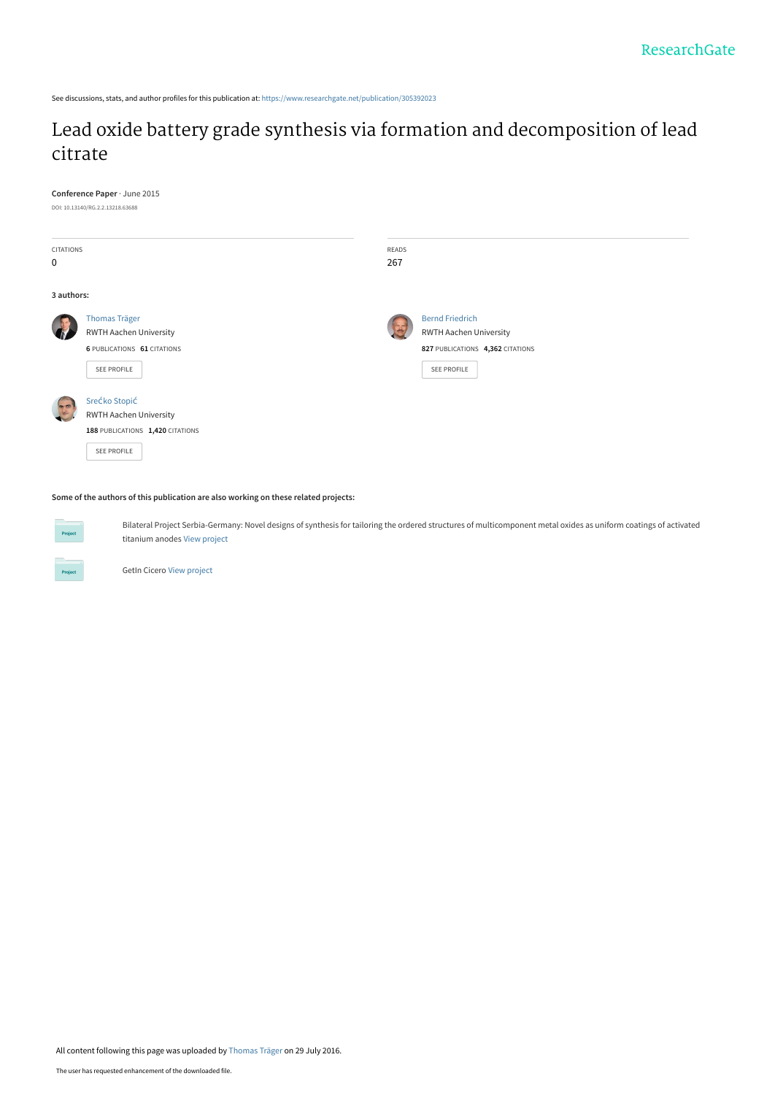See discussions, stats, and author profiles for this publication at: [https://www.researchgate.net/publication/305392023](https://www.researchgate.net/publication/305392023_Lead_oxide_battery_grade_synthesis_via_formation_and_decomposition_of_lead_citrate?enrichId=rgreq-793ca70dbf1e33ac5ed9ce0fee6149ce-XXX&enrichSource=Y292ZXJQYWdlOzMwNTM5MjAyMztBUzozODkxMDg5ODQ3NjIzNzBAMTQ2OTc4MjIxOTMwNg%3D%3D&el=1_x_2&_esc=publicationCoverPdf)

# [Lead oxide battery grade synthesis via formation and decomposition of lead](https://www.researchgate.net/publication/305392023_Lead_oxide_battery_grade_synthesis_via_formation_and_decomposition_of_lead_citrate?enrichId=rgreq-793ca70dbf1e33ac5ed9ce0fee6149ce-XXX&enrichSource=Y292ZXJQYWdlOzMwNTM5MjAyMztBUzozODkxMDg5ODQ3NjIzNzBAMTQ2OTc4MjIxOTMwNg%3D%3D&el=1_x_3&_esc=publicationCoverPdf) citrate

**Conference Paper** · June 2015

DOI: 10.13140/RG.2.2.13218.63688

| <b>CITATIONS</b> |                                    | READS |                                  |  |  |
|------------------|------------------------------------|-------|----------------------------------|--|--|
| $\pmb{0}$        |                                    | 267   |                                  |  |  |
|                  |                                    |       |                                  |  |  |
| 3 authors:       |                                    |       |                                  |  |  |
|                  | <b>Thomas Träger</b>               |       | <b>Bernd Friedrich</b>           |  |  |
|                  | <b>RWTH Aachen University</b>      |       | <b>RWTH Aachen University</b>    |  |  |
|                  | <b>6 PUBLICATIONS 61 CITATIONS</b> |       | 827 PUBLICATIONS 4,362 CITATIONS |  |  |
|                  | SEE PROFILE                        |       | <b>SEE PROFILE</b>               |  |  |
|                  |                                    |       |                                  |  |  |
|                  | SreĆko Stopić                      |       |                                  |  |  |
|                  | <b>RWTH Aachen University</b>      |       |                                  |  |  |
|                  | 188 PUBLICATIONS 1,420 CITATIONS   |       |                                  |  |  |
|                  | SEE PROFILE                        |       |                                  |  |  |
|                  |                                    |       |                                  |  |  |

**Some of the authors of this publication are also working on these related projects:**

**Project** 

Bilateral Project Serbia-Germany: Novel designs of synthesis for tailoring the ordered structures of multicomponent metal oxides as uniform coatings of activated titanium anodes [View project](https://www.researchgate.net/project/Bilateral-Project-Serbia-Germany-Novel-designs-of-synthesis-for-tailoring-the-ordered-structures-of-multicomponent-metal-oxides-as-uniform-coatings-of-activated-titanium-anodes?enrichId=rgreq-793ca70dbf1e33ac5ed9ce0fee6149ce-XXX&enrichSource=Y292ZXJQYWdlOzMwNTM5MjAyMztBUzozODkxMDg5ODQ3NjIzNzBAMTQ2OTc4MjIxOTMwNg%3D%3D&el=1_x_9&_esc=publicationCoverPdf)

GetIn Cicero [View project](https://www.researchgate.net/project/GetIn-Cicero?enrichId=rgreq-793ca70dbf1e33ac5ed9ce0fee6149ce-XXX&enrichSource=Y292ZXJQYWdlOzMwNTM5MjAyMztBUzozODkxMDg5ODQ3NjIzNzBAMTQ2OTc4MjIxOTMwNg%3D%3D&el=1_x_9&_esc=publicationCoverPdf)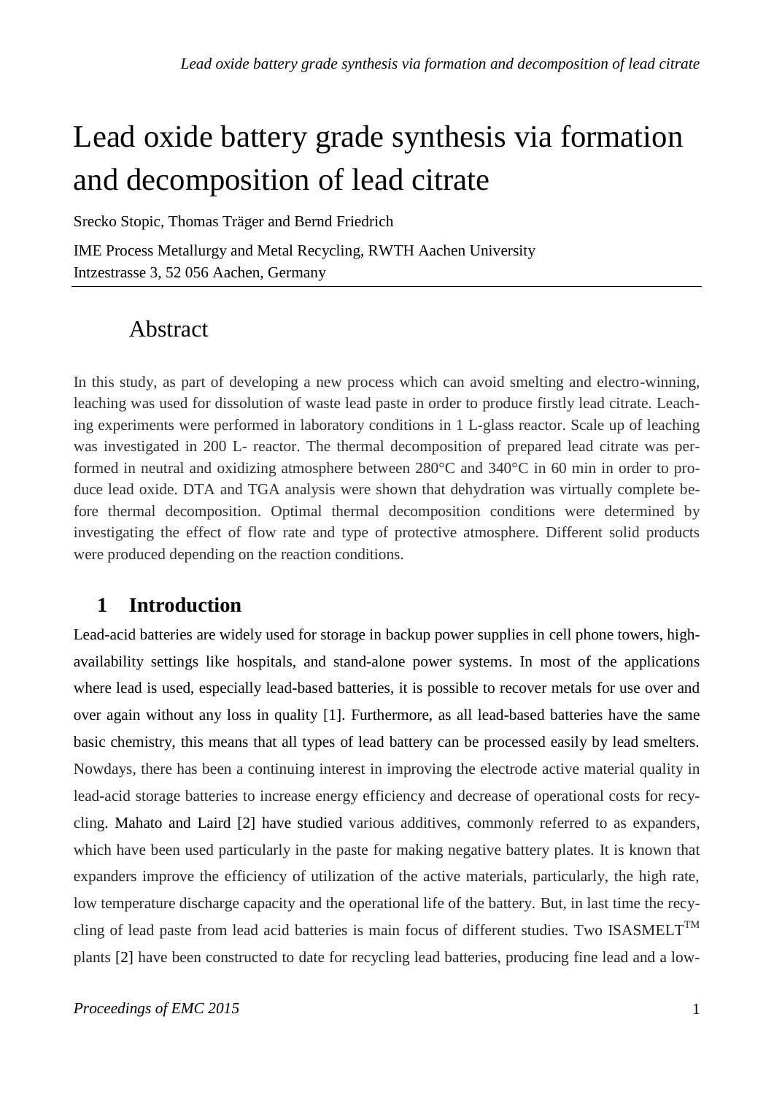# Lead oxide battery grade synthesis via formation and decomposition of lead citrate

Srecko Stopic, Thomas Träger and Bernd Friedrich

IME Process Metallurgy and Metal Recycling, RWTH Aachen University Intzestrasse 3, 52 056 Aachen, Germany

# Abstract

In this study, as part of developing a new process which can avoid smelting and electro-winning, leaching was used for dissolution of waste lead paste in order to produce firstly lead citrate. Leaching experiments were performed in laboratory conditions in 1 L-glass reactor. Scale up of leaching was investigated in 200 L- reactor. The thermal decomposition of prepared lead citrate was performed in neutral and oxidizing atmosphere between 280°C and 340°C in 60 min in order to produce lead oxide. DTA and TGA analysis were shown that dehydration was virtually complete before thermal decomposition. Optimal thermal decomposition conditions were determined by investigating the effect of flow rate and type of protective atmosphere. Different solid products were produced depending on the reaction conditions.

# **1 Introduction**

Lead-acid batteries are widely used for storage in backup power supplies in [cell phone](http://en.wikipedia.org/wiki/Cell_phone) towers, highavailability settings like hospitals, and [stand-alone power systems.](http://en.wikipedia.org/wiki/Stand-alone_power_system) In most of the applications where lead is used, especially lead-based batteries, it is possible to recover metals for use over and over again without any loss in quality [1]. Furthermore, as all lead-based batteries have the same basic chemistry, this means that all types of lead battery can be processed easily by lead smelters. Nowdays, there has been a continuing interest in improving the electrode active material quality in lead-acid storage batteries to increase energy efficiency and decrease of operational costs for recycling. [Mahato](http://www.google.com/search?tbo=p&tbm=pts&hl=en&q=ininventor:%22Basanta+K.+Mahato%22) and [Laird](http://www.google.com/search?tbo=p&tbm=pts&hl=en&q=ininventor:%22Edwin+C.+Laird%22) [2] have studied various additives, commonly referred to as expanders, which have been used particularly in the paste for making negative battery plates. It is known that expanders improve the efficiency of utilization of the active materials, particularly, the high rate, low temperature discharge capacity and the operational life of the battery. But, in last time the recycling of lead paste from lead acid batteries is main focus of different studies. Two ISASMELT<sup>TM</sup> plants [2] have been constructed to date for recycling lead batteries, producing fine lead and a low-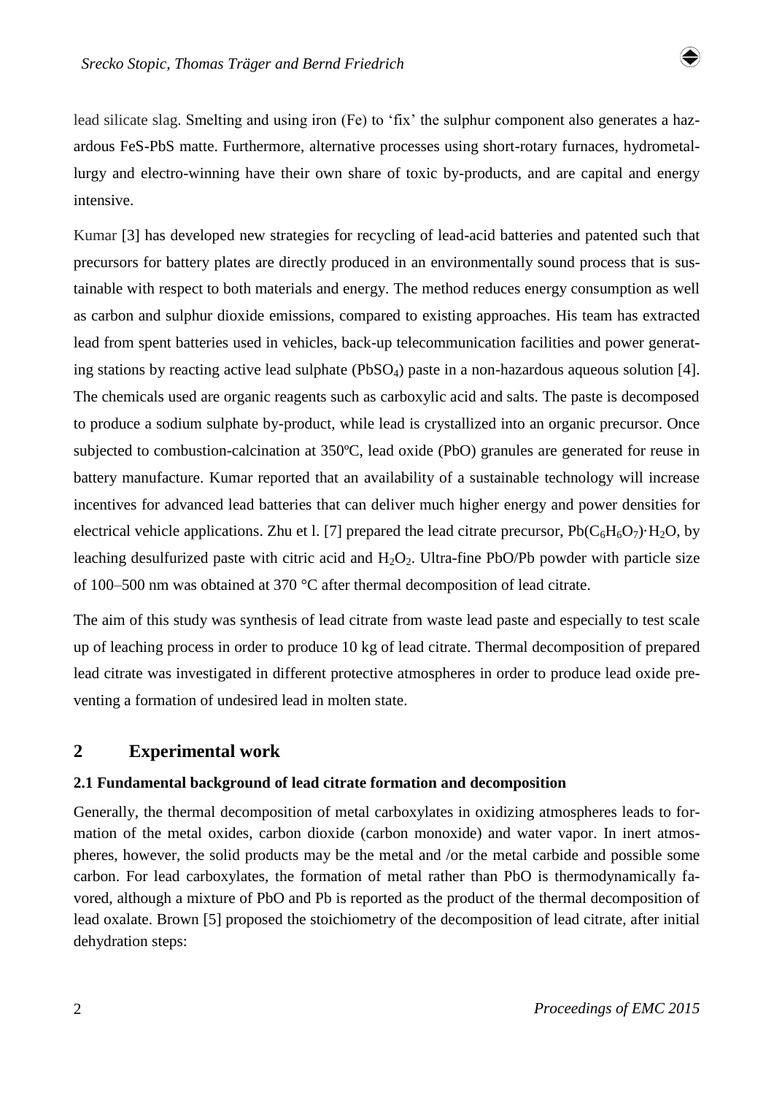lead silicate slag. Smelting and using iron (Fe) to 'fix' the sulphur component also generates a hazardous FeS-PbS matte. Furthermore, alternative processes using short-rotary furnaces, hydrometallurgy and electro-winning have their own share of toxic by-products, and are capital and energy intensive.

Kumar [3] has developed new strategies for recycling of lead-acid batteries and patented such that precursors for battery plates are directly produced in an environmentally sound process that is sustainable with respect to both materials and energy. The method reduces energy consumption as well as carbon and sulphur dioxide emissions, compared to existing approaches. His team has extracted lead from spent batteries used in vehicles, back-up telecommunication facilities and power generating stations by reacting active lead sulphate (PbSO<sub>4</sub>) paste in a non-hazardous aqueous solution [4]. The chemicals used are organic reagents such as carboxylic acid and salts. The paste is decomposed to produce a sodium sulphate by-product, while lead is crystallized into an organic precursor. Once subjected to combustion-calcination at 350ºC, lead oxide (PbO) granules are generated for reuse in battery manufacture. Kumar reported that an availability of a sustainable technology will increase incentives for advanced lead batteries that can deliver much higher energy and power densities for electrical vehicle applications. Zhu et l. [7] prepared the lead citrate precursor,  $Pb(C_6H_6O_7) \cdot H_2O$ , by leaching desulfurized paste with citric acid and  $H_2O_2$ . Ultra-fine PbO/Pb powder with particle size of 100–500 nm was obtained at 370 °C after thermal decomposition of lead citrate.

The aim of this study was synthesis of lead citrate from waste lead paste and especially to test scale up of leaching process in order to produce 10 kg of lead citrate. Thermal decomposition of prepared lead citrate was investigated in different protective atmospheres in order to produce lead oxide preventing a formation of undesired lead in molten state.

# **2 Experimental work**

#### **2.1 Fundamental background of lead citrate formation and decomposition**

Generally, the thermal decomposition of metal carboxylates in oxidizing atmospheres leads to formation of the metal oxides, carbon dioxide (carbon monoxide) and water vapor. In inert atmospheres, however, the solid products may be the metal and /or the metal carbide and possible some carbon. For lead carboxylates, the formation of metal rather than PbO is thermodynamically favored, although a mixture of PbO and Pb is reported as the product of the thermal decomposition of lead oxalate. Brown [5] proposed the stoichiometry of the decomposition of lead citrate, after initial dehydration steps:

♦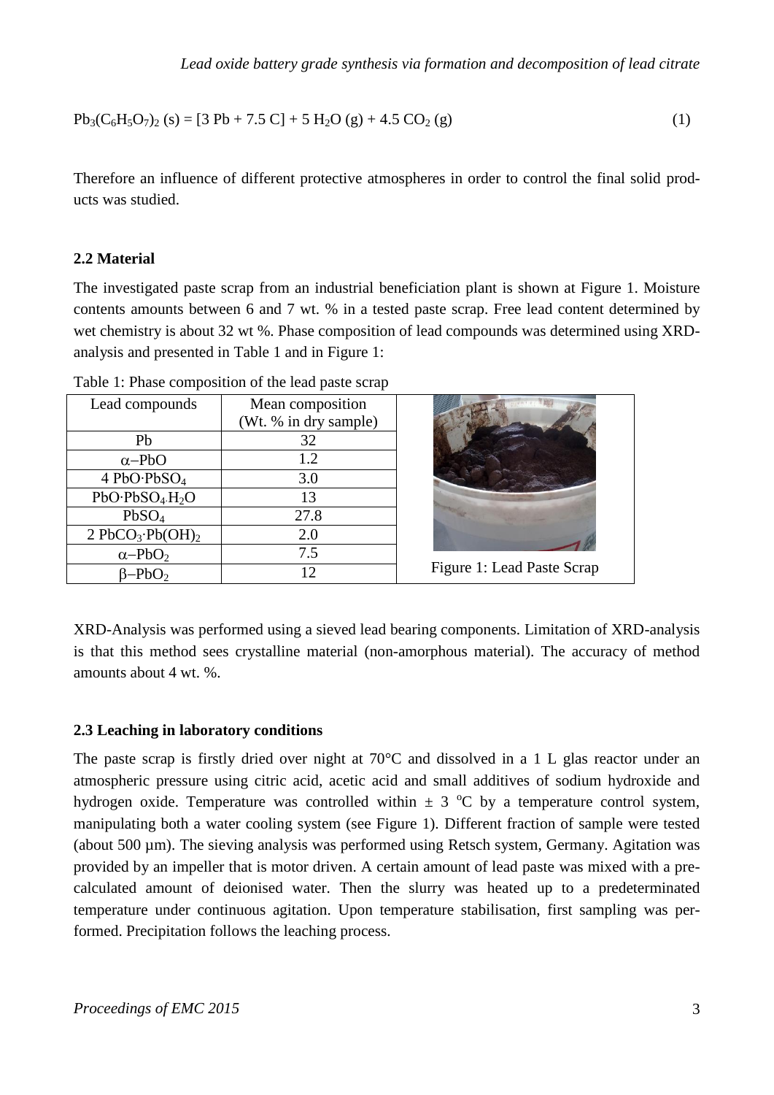$$
Pb_3(C_6H_5O_7)_2 (s) = [3 Pb + 7.5 C] + 5 H_2O(g) + 4.5 CO_2(g)
$$
\n(1)

Therefore an influence of different protective atmospheres in order to control the final solid products was studied.

#### **2.2 Material**

The investigated paste scrap from an industrial beneficiation plant is shown at Figure 1. Moisture contents amounts between 6 and 7 wt. % in a tested paste scrap. Free lead content determined by wet chemistry is about 32 wt %. Phase composition of lead compounds was determined using XRDanalysis and presented in Table 1 and in Figure 1:

| Lead compounds                | Mean composition<br>(Wt. % in dry sample) |                            |
|-------------------------------|-------------------------------------------|----------------------------|
| Pb                            | 32                                        |                            |
| $\alpha$ -PbO                 | 1.2                                       |                            |
| 4 PbO·PbSO <sub>4</sub>       | 3.0                                       |                            |
| $PbO \cdot PbSO_4 \cdot H_2O$ | 13                                        |                            |
| PbSO <sub>4</sub>             | 27.8                                      |                            |
| $2 PbCO3 \cdot Pb(OH)2$       | 2.0                                       |                            |
| $\alpha$ -PbO <sub>2</sub>    | 7.5                                       |                            |
| $\beta - PbO_2$               | 12                                        | Figure 1: Lead Paste Scrap |

Table 1: Phase composition of the lead paste scrap

XRD-Analysis was performed using a sieved lead bearing components. Limitation of XRD-analysis is that this method sees crystalline material (non-amorphous material). The accuracy of method amounts about 4 wt. %.

#### **2.3 Leaching in laboratory conditions**

The paste scrap is firstly dried over night at 70°C and dissolved in a 1 L glas reactor under an atmospheric pressure using citric acid, acetic acid and small additives of sodium hydroxide and hydrogen oxide. Temperature was controlled within  $\pm$  3 °C by a temperature control system, manipulating both a water cooling system (see Figure 1). Different fraction of sample were tested (about 500 µm). The sieving analysis was performed using Retsch system, Germany. Agitation was provided by an impeller that is motor driven. A certain amount of lead paste was mixed with a precalculated amount of deionised water. Then the slurry was heated up to a predeterminated temperature under continuous agitation. Upon temperature stabilisation, first sampling was performed. Precipitation follows the leaching process.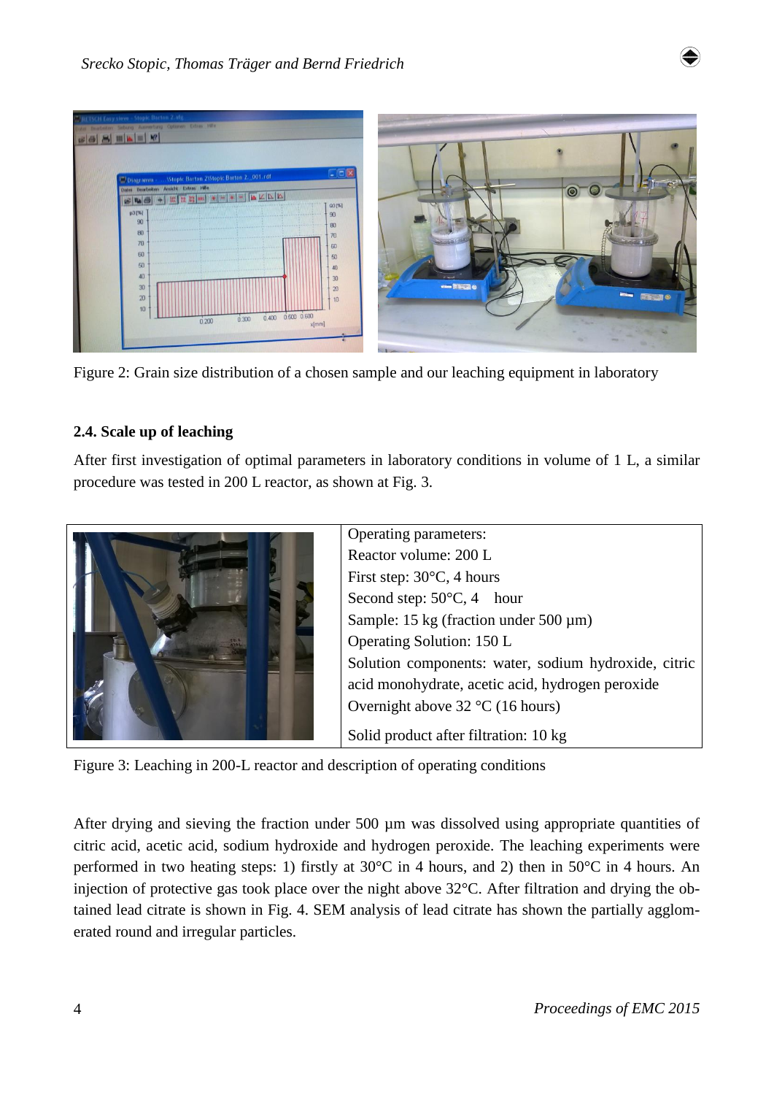

Figure 2: Grain size distribution of a chosen sample and our leaching equipment in laboratory

### **2.4. Scale up of leaching**

After first investigation of optimal parameters in laboratory conditions in volume of 1 L, a similar procedure was tested in 200 L reactor, as shown at Fig. 3.



Figure 3: Leaching in 200-L reactor and description of operating conditions

After drying and sieving the fraction under 500 µm was dissolved using appropriate quantities of citric acid, acetic acid, sodium hydroxide and hydrogen peroxide. The leaching experiments were performed in two heating steps: 1) firstly at 30°C in 4 hours, and 2) then in 50°C in 4 hours. An injection of protective gas took place over the night above 32°C. After filtration and drying the obtained lead citrate is shown in Fig. 4. SEM analysis of lead citrate has shown the partially agglomerated round and irregular particles.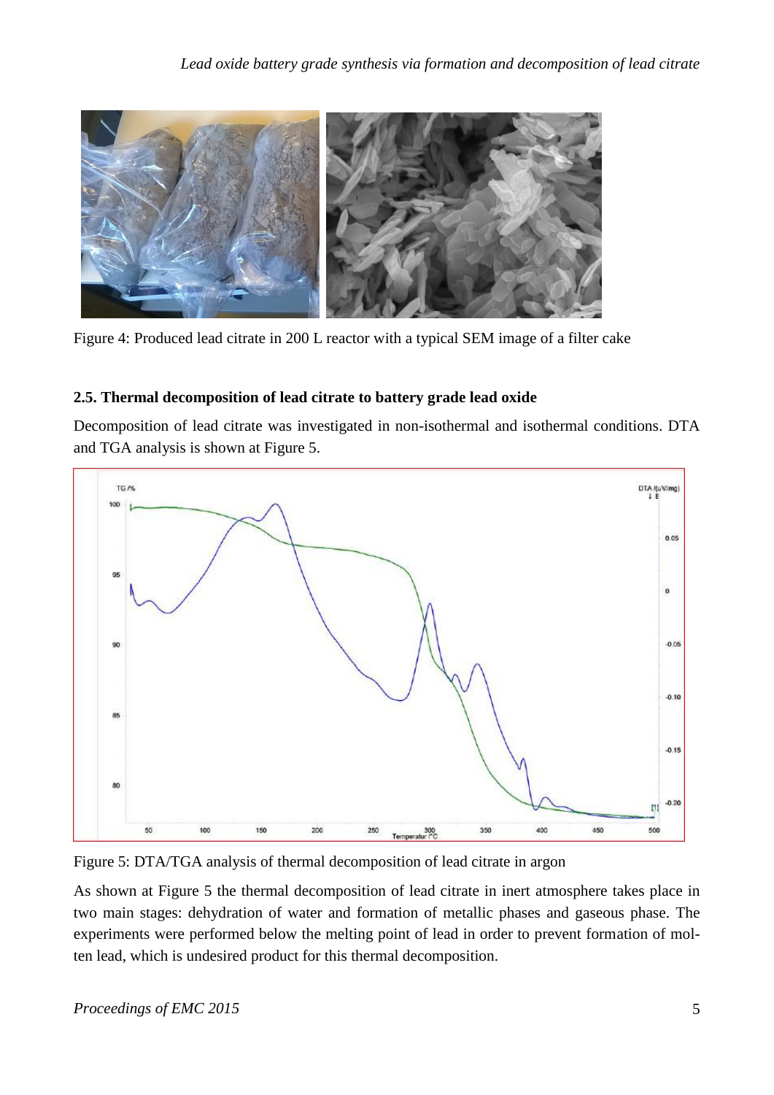

Figure 4: Produced lead citrate in 200 L reactor with a typical SEM image of a filter cake

# **2.5. Thermal decomposition of lead citrate to battery grade lead oxide**

Decomposition of lead citrate was investigated in non-isothermal and isothermal conditions. DTA and TGA analysis is shown at Figure 5.



Figure 5: DTA/TGA analysis of thermal decomposition of lead citrate in argon

As shown at Figure 5 the thermal decomposition of lead citrate in inert atmosphere takes place in two main stages: dehydration of water and formation of metallic phases and gaseous phase. The experiments were performed below the melting point of lead in order to prevent formation of molten lead, which is undesired product for this thermal decomposition.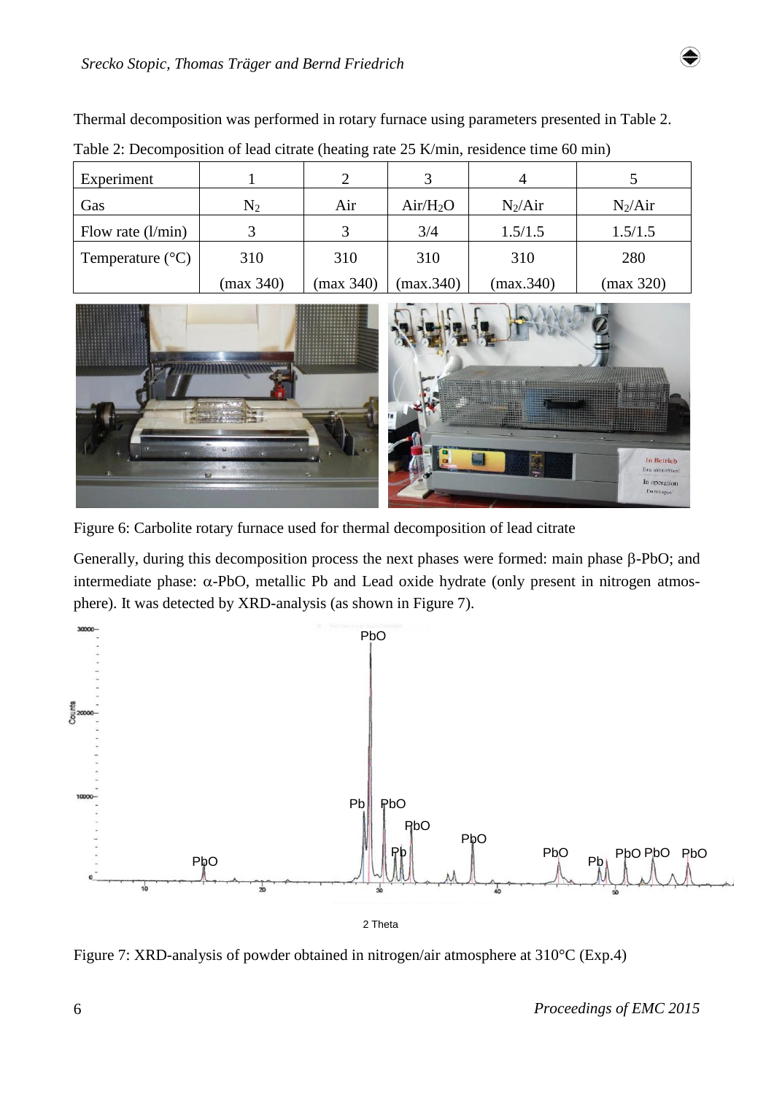| Experiment                |           |           |            |           |           |
|---------------------------|-----------|-----------|------------|-----------|-----------|
| Gas                       | $\rm N_2$ | Air       | $Air/H_2O$ | $N_2/Air$ | $N_2/Air$ |
| Flow rate $(l/min)$       |           |           | 3/4        | 1.5/1.5   | 1.5/1.5   |
| Temperature $(^{\circ}C)$ | 310       | 310       | 310        | 310       | 280       |
|                           | (max 340) | (max 340) | (max.340)  | (max.340) | (max 320) |

Thermal decomposition was performed in rotary furnace using parameters presented in Table 2. Table 2: Decomposition of lead citrate (heating rate 25 K/min, residence time 60 min)



Figure 6: Carbolite rotary furnace used for thermal decomposition of lead citrate

Generally, during this decomposition process the next phases were formed: main phase  $\beta$ -PbO; and intermediate phase:  $\alpha$ -PbO, metallic Pb and Lead oxide hydrate (only present in nitrogen atmosphere). It was detected by XRD-analysis (as shown in Figure 7).



Figure 7: XRD-analysis of powder obtained in nitrogen/air atmosphere at 310°C (Exp.4)

6 *Proceedings of EMC 2015*

♦